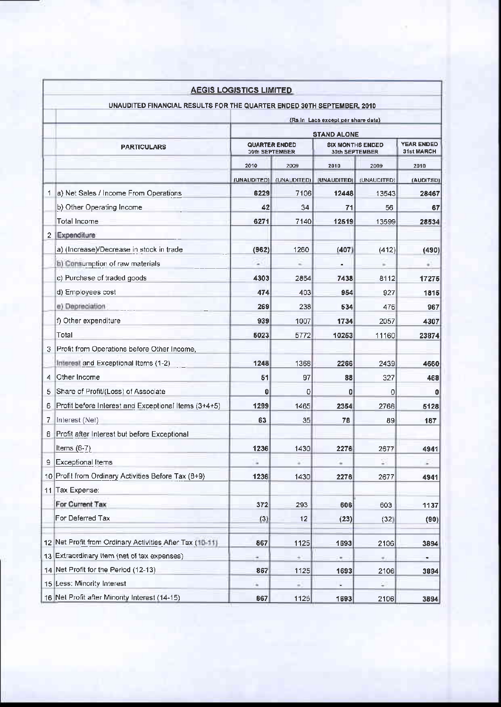|      |                                                                        | <b>AEGIS LOGISTICS LIMITED</b>                |             |                                           |                         |                                        |  |
|------|------------------------------------------------------------------------|-----------------------------------------------|-------------|-------------------------------------------|-------------------------|----------------------------------------|--|
|      | UNAUDITED FINANCIAL RESULTS FOR THE QUARTER ENDED 30TH SEPTEMBER, 2010 |                                               |             |                                           |                         |                                        |  |
|      |                                                                        |                                               |             | (Rs in Lacs except per share data)        |                         |                                        |  |
|      |                                                                        | <b>STAND ALONE</b>                            |             |                                           |                         |                                        |  |
|      | <b>PARTICULARS</b>                                                     | <b>QUARTER ENDED</b><br><b>30th SEPTEMBER</b> |             | <b>SIX MONTHS ENDED</b><br>30th SEPTEMBER |                         | <b>YEAR ENDED</b><br><b>31st MARCH</b> |  |
|      |                                                                        | 2010                                          | 2009        | 2010                                      | 2009                    | 2010                                   |  |
|      |                                                                        | (UNAUDITED)                                   | (UNAUDITED) |                                           | (UNAUDITED) (UNAUDITED) | (AUDITED)                              |  |
| 1    | a) Net Sales / Income From Operations                                  | 6229                                          | 7106        | 12448                                     | 13543                   | 28467                                  |  |
|      | b) Other Operating Income                                              | 42                                            | 34          | 71                                        | 56                      | 67                                     |  |
|      | <b>Total Income</b>                                                    | 6271                                          | 7140        | 12519                                     | 13599                   | 28534                                  |  |
|      | 2 Expenditure                                                          |                                               |             |                                           |                         |                                        |  |
|      | a) (Increase)/Decrease in stock in trade                               | (962)                                         | 1260        | (407)                                     | (412)                   | (490)                                  |  |
|      | b) Consumption of raw materials                                        | ٠                                             |             |                                           |                         | a.                                     |  |
|      | c) Purchase of traded goods                                            | 4303                                          | 2864        | 7438                                      | 8112                    | 17275                                  |  |
|      | d) Employees cost                                                      | 474                                           | 403         | 954                                       | 927                     | 1815                                   |  |
|      | e) Depreciation                                                        | 269                                           | 238         | 534                                       | 476                     | 967                                    |  |
|      | f) Other expenditure                                                   | 939                                           | 1007        | 1734                                      | 2057                    | 4307                                   |  |
|      | Total                                                                  | 6023                                          | 5772        | 10253                                     | 11160                   | 23874                                  |  |
| 3    | Profit from Operations before Other Income,                            |                                               |             |                                           |                         |                                        |  |
|      | Interest and Exceptional Items (1-2)                                   | 1248                                          | 1368        | 2266                                      | 2439                    | 4660                                   |  |
| 4    | Other Income                                                           | 51                                            | 97          | 88                                        | 327                     | 468                                    |  |
| 5    | Share of Profit/(Loss) of Associate                                    | 0                                             | 0           | 0                                         | 0                       | 0                                      |  |
| 6    | Profit before Interest and Exceptional Items (3+4+5)                   | 1299                                          | 1465        | 2354                                      | 2766                    | 5128                                   |  |
| $7+$ | Interest (Net)                                                         | 63                                            | 35          | 78                                        | 89                      | 187                                    |  |
| 8    | Profit after Interest but before Exceptional                           |                                               |             |                                           |                         |                                        |  |
|      | Items $(6-7)$                                                          | 1236                                          | 1430        | 2276                                      | 2677                    | 4941                                   |  |
| 9    | <b>Exceptional Items</b>                                               |                                               |             |                                           | ÷                       | ÷                                      |  |
|      | 10 Profit from Ordinary Activities Before Tax (8+9)                    | 1236                                          | 1430        | 2276                                      | 2677                    | 4941                                   |  |
|      | 11 Tax Expense:                                                        |                                               |             |                                           |                         |                                        |  |
|      | For Current Tax                                                        | 372                                           | 293         | 606                                       | 603                     | 1137                                   |  |
|      | For Deferred Tax                                                       | (3)                                           | 12          | (23)                                      | (32)                    | (90)                                   |  |
|      | 12 Net Profit from Ordinary Activities After Tax (10-11)               | 867                                           | 1125        | 1693                                      | 2106                    | 3894                                   |  |
|      | 13 Extraordinary Item (net of tax expenses)                            | ٠                                             | ÷,          |                                           | ×                       |                                        |  |
|      | 14 Net Profit for the Period (12-13)                                   | 867                                           | 1125        | 1693                                      | 2106                    | 3894                                   |  |
|      | 15 Less: Minority Interest                                             | ۰                                             | $\equiv$    |                                           | ÷                       |                                        |  |
|      | 16 Net Profit after Minority Interest (14-15)                          | 867                                           | 1125        | 1693                                      | 2106                    | 3894                                   |  |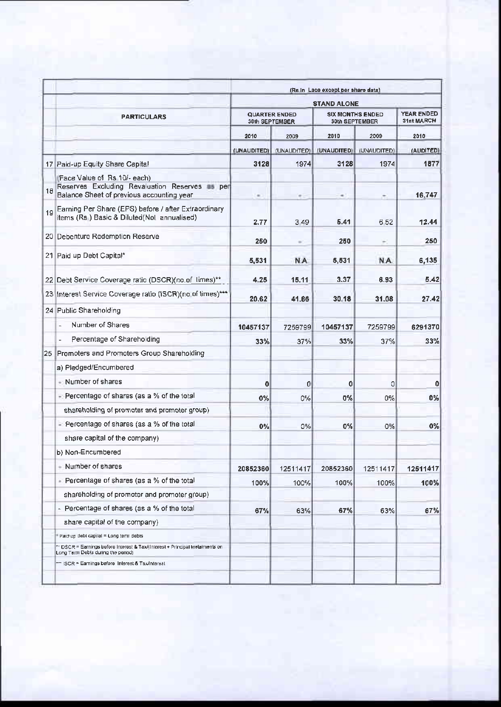|     |                                                                                                                   | (Rs In Lace except per share data)     |             |                                                  |                                 |                                 |  |
|-----|-------------------------------------------------------------------------------------------------------------------|----------------------------------------|-------------|--------------------------------------------------|---------------------------------|---------------------------------|--|
|     | <b>PARTICULARS</b>                                                                                                | <b>STAND ALONE</b>                     |             |                                                  |                                 |                                 |  |
|     |                                                                                                                   | <b>QUARTER ENDED</b><br>30th SEPTEMBER |             | <b>SIX MONTHS ENDED</b><br><b>30th SEPTEMBER</b> |                                 | <b>YEAR ENDED</b><br>31st MARCH |  |
|     |                                                                                                                   | 2010                                   | 2009        | 2010                                             | 2009<br>(UNAUDITED) (UNAUDITED) | 2010<br>(AUDITED)               |  |
|     |                                                                                                                   | (UNAUDITED)                            | (UNAUDITED) |                                                  |                                 |                                 |  |
|     | 17 Paid-up Equity Share Capital                                                                                   | 3128                                   | 1974        | 3128                                             | 1974                            | 1877                            |  |
|     | (Face Value of Rs 10/- each)                                                                                      |                                        |             |                                                  |                                 |                                 |  |
| 18  | Reserves Excluding Revaluation Reserves as per<br>Balance Sheet of previous accounting year                       | $\equiv$                               | ٠           | ۰                                                | ÷                               | 16.747                          |  |
| 19  | Earning Per Share (EPS) before / after Extraordinary<br>items (Rs) Basic & Diluted(Not annualised)                | 2.77                                   | 3 4 9       | 5.41                                             | 652                             | 12.44                           |  |
|     | 20 Debenture Redemption Reserve                                                                                   | 250                                    |             | 250                                              | ×                               | 250                             |  |
|     | 21 Paid up Debt Capital*                                                                                          | 5,531                                  | <b>NA</b>   | 5,531                                            | N.A.                            | 6,135                           |  |
|     | 22 Debt Service Coverage ratio (DSCR)(no.of limes)**                                                              | 4.25                                   | 15.11       | 3.37                                             | 6.93                            | 5.42                            |  |
|     | 23 Interest Service Coverage ratio (ISCR)(no of times)***                                                         | 20.62                                  | 41.66       | 30.18                                            | 31.08                           | 27.42                           |  |
|     | 24 Public Shareholding                                                                                            |                                        |             |                                                  |                                 |                                 |  |
|     | Number of Shares                                                                                                  | 10457137                               | 7259799     | 10457137                                         | 7259799                         | 6291370                         |  |
|     | Percentage of Shareholding                                                                                        | 33%                                    | 37%         | 33%                                              | 37%                             | 33%                             |  |
| 25. | Promoters and Promoters Group Shareholding                                                                        |                                        |             |                                                  |                                 |                                 |  |
|     | a) Pledged/Encumbered                                                                                             |                                        |             |                                                  |                                 |                                 |  |
|     | - Number of shares                                                                                                | O                                      | 0           | 0                                                | 0                               | 0                               |  |
|     | - Percentage of shares (as a % of the total                                                                       | 0%                                     | 0%          | 0%                                               | 0%                              | 0%                              |  |
|     | shareholding of promoter and promoter group)                                                                      |                                        |             |                                                  |                                 |                                 |  |
|     | - Percentage of shares (as a % of the total                                                                       | 0%                                     | $0\%$       | $0\%$                                            | 0%                              | 0%                              |  |
|     | share capital of the company)                                                                                     |                                        |             |                                                  |                                 |                                 |  |
|     | b) Non-Encumbered                                                                                                 |                                        |             |                                                  |                                 |                                 |  |
|     | - Number of shares                                                                                                | 20852360                               | 12511417    | 20852360                                         | 12511417                        | 12511417                        |  |
|     | Percentage of shares (as a % of the total                                                                         | 100%                                   | 100%        | 100%                                             | 100%                            | 100%                            |  |
|     | shareholding of promoter and promoter group)                                                                      |                                        |             |                                                  |                                 |                                 |  |
|     | - Percentage of shares (as a % of the total                                                                       | 67%                                    | 63%         | 67%                                              | 63%                             | 67%                             |  |
|     | share capital of the company)                                                                                     |                                        |             |                                                  |                                 |                                 |  |
|     | Paid up debt capital = Long term debts                                                                            |                                        |             |                                                  |                                 |                                 |  |
|     | '* DSCR = Earnings before Interest & Tax/(Interest + Principal Instalments on<br>Long Term Debis dunng the penod) |                                        |             |                                                  |                                 |                                 |  |
|     | *** ISCR = Earnings before Interest & Tax/Interest                                                                |                                        |             |                                                  |                                 |                                 |  |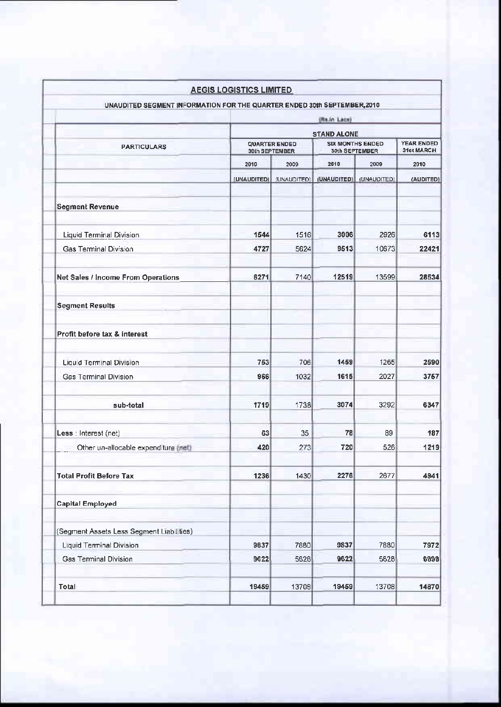|                                                                          | <b>AEGIS LOGISTICS LIMITED</b>          |                                               |              |                                           |           |
|--------------------------------------------------------------------------|-----------------------------------------|-----------------------------------------------|--------------|-------------------------------------------|-----------|
| UNAUDITED SEGMENT INFORMATION FOR THE QUARTER ENDED 30th SEPTEMBER, 2010 |                                         |                                               |              |                                           |           |
|                                                                          |                                         |                                               | (Re.in Lace) |                                           |           |
|                                                                          | <b>STAND ALONE</b><br><b>YEAR ENDED</b> |                                               |              |                                           |           |
| <b>PARTICULARS</b>                                                       |                                         | <b>QUARTER ENDED</b><br><b>30th SEPTEMBER</b> |              | <b>SIX MONTHS ENDED</b><br>30th SEPTEMBER |           |
|                                                                          | 2010                                    | 2009                                          | 2010         | 2009                                      | 2010      |
|                                                                          | (UNAUDITED)                             | (UNAUDITED)                                   | (UNAUDITED)  | (UNAUDITED)                               | (AUDITED) |
| <b>Segment Revenue</b>                                                   |                                         |                                               |              |                                           |           |
| Liquid Terminal Division                                                 | 1544                                    | 1516                                          | 3006         | 2926                                      | 6113      |
| Gas Terminal Division                                                    | 4727                                    | 5624                                          | 9513         | 10673                                     | 22421     |
| <b>Net Sales / Income From Operations</b>                                | 6271                                    | 7140                                          | 12519        | 13599                                     | 28534     |
| <b>Segment Results</b>                                                   |                                         |                                               |              |                                           |           |
| Profit before tax & interest                                             |                                         |                                               |              |                                           |           |
| <b>Liquid Terminal Division</b>                                          | 753                                     | 706                                           | 1459         | 1265                                      | 2590      |
| <b>Gas Terminal Division</b>                                             | 966                                     | 1032                                          | 1615         | 2027                                      | 3757      |
| sub-total                                                                | 1719                                    | 1738                                          | 3074         | 3292                                      | 6347      |
| Less : Interest (net)                                                    | 63                                      | 35                                            | 78           | 89                                        | 187       |
| Other un-allocable expenditure (net)                                     | 420                                     | 273                                           | 720          | 526                                       | 1219      |
| <b>Total Profit Before Tax</b>                                           | 1236                                    | 1430                                          | 2276         | 2677                                      | 4941      |
| <b>Capital Employed</b>                                                  |                                         |                                               |              |                                           |           |
| (Segment Assets Less Segment Liabilities)                                |                                         |                                               |              |                                           |           |
| <b>Liquid Terminal Division</b>                                          | 9837                                    | 7880                                          | 9837         | 7880                                      | 7972      |
| <b>Gas Terminal Division</b>                                             | 9622                                    | 5828                                          | 9622         | 5828                                      | 6898      |
| Total                                                                    | 19459                                   | 13708                                         | 19459        | 13708                                     | 14870     |